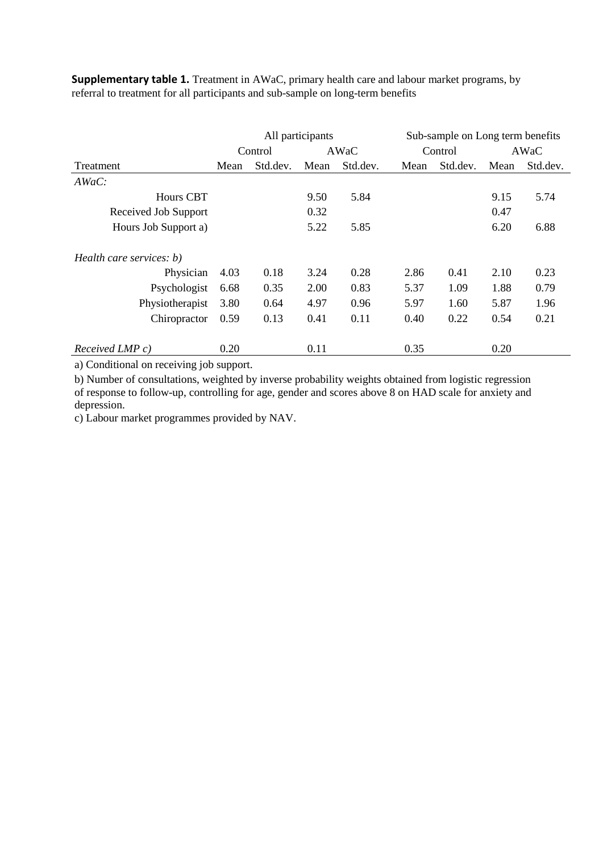|                                  |      |          | All participants |          | Sub-sample on Long term benefits |          |      |          |
|----------------------------------|------|----------|------------------|----------|----------------------------------|----------|------|----------|
|                                  |      | Control  |                  | AWaC     |                                  | Control  |      | AWaC     |
| Treatment                        | Mean | Std.dev. | Mean             | Std.dev. | Mean                             | Std.dev. | Mean | Std.dev. |
| $AWaC$ :                         |      |          |                  |          |                                  |          |      |          |
| <b>Hours CBT</b>                 |      |          | 9.50             | 5.84     |                                  |          | 9.15 | 5.74     |
| Received Job Support             |      |          | 0.32             |          |                                  |          | 0.47 |          |
| Hours Job Support a)             |      |          | 5.22             | 5.85     |                                  |          | 6.20 | 6.88     |
| Health care services: b)         |      |          |                  |          |                                  |          |      |          |
| Physician                        | 4.03 | 0.18     | 3.24             | 0.28     | 2.86                             | 0.41     | 2.10 | 0.23     |
| Psychologist                     | 6.68 | 0.35     | 2.00             | 0.83     | 5.37                             | 1.09     | 1.88 | 0.79     |
| Physiotherapist                  | 3.80 | 0.64     | 4.97             | 0.96     | 5.97                             | 1.60     | 5.87 | 1.96     |
| Chiropractor                     | 0.59 | 0.13     | 0.41             | 0.11     | 0.40                             | 0.22     | 0.54 | 0.21     |
| $Received \, \textit{IMP} \, c)$ | 0.20 |          | 0.11             |          | 0.35                             |          | 0.20 |          |

**Supplementary table 1.** Treatment in AWaC, primary health care and labour market programs, by referral to treatment for all participants and sub-sample on long-term benefits

a) Conditional on receiving job support.

b) Number of consultations, weighted by inverse probability weights obtained from logistic regression of response to follow-up, controlling for age, gender and scores above 8 on HAD scale for anxiety and depression.

c) Labour market programmes provided by NAV.